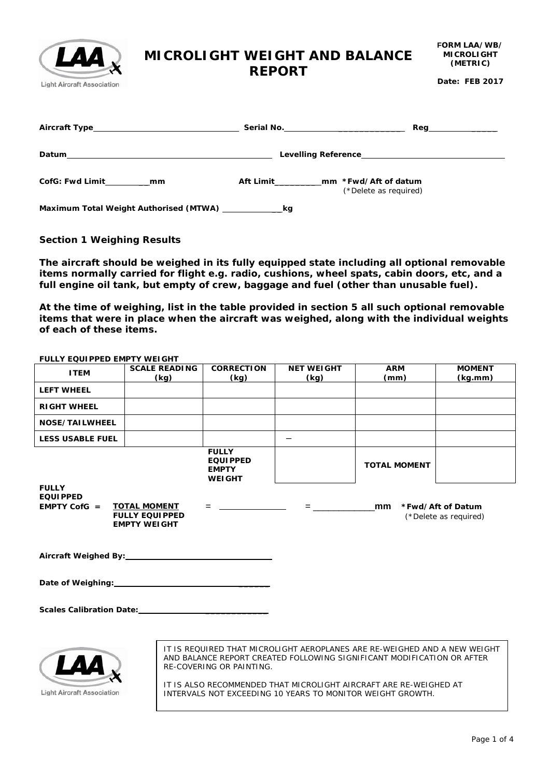# **MICROLIGHT WEIGHT AND BALANCE**

### **REPORT**

**Date: FEB 2017**

| Aircraft Type                          | Serial No.<br>Reg                                                      |
|----------------------------------------|------------------------------------------------------------------------|
| Datum                                  | Levelling Reference <b>Exercise Server Server Server Server Server</b> |
| <b>CofG: Fwd Limit</b><br>mm           | Aft Limit<br>mm *Fwd/Aft of datum<br>(*Delete as required)             |
| Maximum Total Weight Authorised (MTWA) | kg                                                                     |

### **Section 1 Weighing Results**

LZ

**Light Aircraft Association** 

**The aircraft should be weighed in its fully equipped state including all optional removable items normally carried for flight e.g. radio, cushions, wheel spats, cabin doors, etc, and a full engine oil tank, but empty of crew, baggage and fuel (other than unusable fuel).** 

**At the time of weighing, list in the table provided in section 5 all such optional removable items that were in place when the aircraft was weighed, along with the individual weights of each of these items.**

| FULLY EQUIPPED EMPTY WEIGHT                                                                                                                                                                                                                                                                                                                             |                                                                     |                                                                  |                                                                                                                                                                                                                                                                                                                        |                     |                                            |
|---------------------------------------------------------------------------------------------------------------------------------------------------------------------------------------------------------------------------------------------------------------------------------------------------------------------------------------------------------|---------------------------------------------------------------------|------------------------------------------------------------------|------------------------------------------------------------------------------------------------------------------------------------------------------------------------------------------------------------------------------------------------------------------------------------------------------------------------|---------------------|--------------------------------------------|
| <b>ITEM</b>                                                                                                                                                                                                                                                                                                                                             | <b>SCALE READING</b><br>(kg)                                        | <b>CORRECTION</b><br>(kq)                                        | <b>NET WEIGHT</b><br>(kg)                                                                                                                                                                                                                                                                                              | <b>ARM</b><br>(mm)  | <b>MOMENT</b><br>(kg.mm)                   |
| <b>LEFT WHEEL</b>                                                                                                                                                                                                                                                                                                                                       |                                                                     |                                                                  |                                                                                                                                                                                                                                                                                                                        |                     |                                            |
| <b>RIGHT WHEEL</b>                                                                                                                                                                                                                                                                                                                                      |                                                                     |                                                                  |                                                                                                                                                                                                                                                                                                                        |                     |                                            |
| NOSE/TAILWHEEL                                                                                                                                                                                                                                                                                                                                          |                                                                     |                                                                  |                                                                                                                                                                                                                                                                                                                        |                     |                                            |
| <b>LESS USABLE FUEL</b>                                                                                                                                                                                                                                                                                                                                 |                                                                     |                                                                  | $\overline{\phantom{0}}$                                                                                                                                                                                                                                                                                               |                     |                                            |
| <b>FULLY</b>                                                                                                                                                                                                                                                                                                                                            |                                                                     | <b>FULLY</b><br><b>EQUIPPED</b><br><b>EMPTY</b><br><b>WEIGHT</b> |                                                                                                                                                                                                                                                                                                                        | <b>TOTAL MOMENT</b> |                                            |
| <b>EQUIPPED</b><br>EMPTY CofG $=$                                                                                                                                                                                                                                                                                                                       | <b>TOTAL MOMENT</b><br><b>FULLY EQUIPPED</b><br><b>EMPTY WEIGHT</b> | 그는 아이들은 아이들이 아이들이 없었다.                                           | $=$ $\frac{1}{2}$ $\frac{1}{2}$ $\frac{1}{2}$ $\frac{1}{2}$ $\frac{1}{2}$ $\frac{1}{2}$ $\frac{1}{2}$ $\frac{1}{2}$ $\frac{1}{2}$ $\frac{1}{2}$ $\frac{1}{2}$ $\frac{1}{2}$ $\frac{1}{2}$ $\frac{1}{2}$ $\frac{1}{2}$ $\frac{1}{2}$ $\frac{1}{2}$ $\frac{1}{2}$ $\frac{1}{2}$ $\frac{1}{2}$ $\frac{1}{2}$ $\frac{1}{2$ | mm                  | *Fwd/Aft of Datum<br>(*Delete as required) |
| Aircraft Weighed By: Aircraft Weighed By:                                                                                                                                                                                                                                                                                                               |                                                                     |                                                                  |                                                                                                                                                                                                                                                                                                                        |                     |                                            |
| Date of Weighing:<br><u>Date of Weighing:</u>                                                                                                                                                                                                                                                                                                           |                                                                     |                                                                  |                                                                                                                                                                                                                                                                                                                        |                     |                                            |
|                                                                                                                                                                                                                                                                                                                                                         |                                                                     |                                                                  |                                                                                                                                                                                                                                                                                                                        |                     |                                            |
| IT IS REQUIRED THAT MICROLIGHT AEROPLANES ARE RE-WEIGHED AND A NEW WEIGHT<br>AND BALANCE REPORT CREATED FOLLOWING SIGNIFICANT MODIFICATION OR AFTER<br>RE-COVERING OR PAINTING.<br>IT IS ALSO RECOMMENDED THAT MICROLIGHT AIRCRAFT ARE RE-WEIGHED AT<br><b>Light Aircraft Association</b><br>INTERVALS NOT EXCEEDING 10 YEARS TO MONITOR WEIGHT GROWTH. |                                                                     |                                                                  |                                                                                                                                                                                                                                                                                                                        |                     |                                            |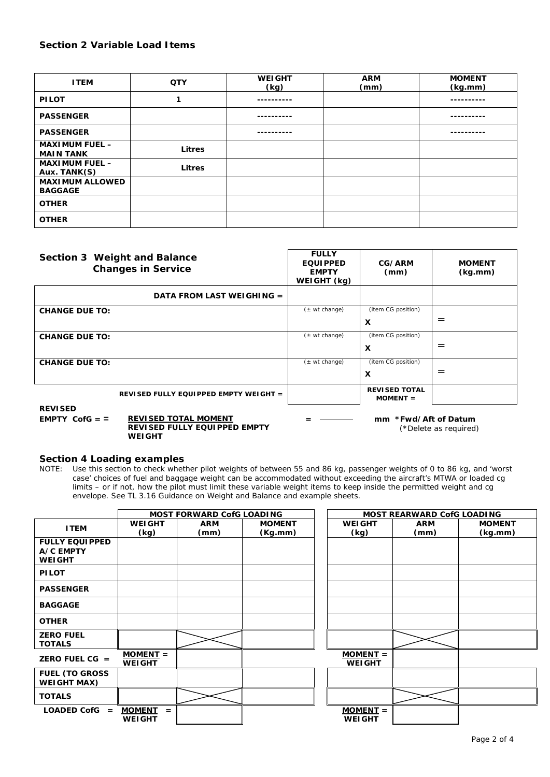### **Section 2 Variable Load Items**

| <b>ITEM</b>                               | <b>QTY</b>    | <b>WEIGHT</b><br>(kg) | <b>ARM</b><br>(mm) | <b>MOMENT</b><br>(kg.mm) |
|-------------------------------------------|---------------|-----------------------|--------------------|--------------------------|
| <b>PILOT</b>                              |               |                       |                    |                          |
| <b>PASSENGER</b>                          |               |                       |                    |                          |
| <b>PASSENGER</b>                          |               |                       |                    |                          |
| <b>MAXIMUM FUEL -</b><br><b>MAIN TANK</b> | <b>Litres</b> |                       |                    |                          |
| <b>MAXIMUM FUEL -</b><br>Aux. TANK(S)     | <b>Litres</b> |                       |                    |                          |
| <b>MAXIMUM ALLOWED</b><br><b>BAGGAGE</b>  |               |                       |                    |                          |
| <b>OTHER</b>                              |               |                       |                    |                          |
| <b>OTHER</b>                              |               |                       |                    |                          |

| Section 3 Weight and Balance<br><b>Changes in Service</b>                                           | <b>FULLY</b><br><b>EQUIPPED</b><br><b>EMPTY</b><br>WEIGHT (kg) | CG/ARM<br>(mm)                     | <b>MOMENT</b><br>(kg.mm)                |
|-----------------------------------------------------------------------------------------------------|----------------------------------------------------------------|------------------------------------|-----------------------------------------|
| DATA FROM LAST WEIGHING =                                                                           |                                                                |                                    |                                         |
| <b>CHANGE DUE TO:</b>                                                                               | $(\pm \text{ wt change})$                                      | (item CG position)                 |                                         |
|                                                                                                     |                                                                | $\boldsymbol{\mathsf{x}}$          | $=$                                     |
| <b>CHANGE DUE TO:</b>                                                                               | $(\pm \text{ wt change})$                                      | (item CG position)                 |                                         |
|                                                                                                     |                                                                | $\boldsymbol{\mathsf{x}}$          | $=$                                     |
| <b>CHANGE DUE TO:</b>                                                                               | $(\pm \text{ wt change})$                                      | (item CG position)                 |                                         |
|                                                                                                     |                                                                | X                                  | $=$                                     |
| REVISED FULLY EQUIPPED EMPTY WEIGHT =                                                               |                                                                | <b>REVISED TOTAL</b><br>$MOMENT =$ |                                         |
| <b>REVISED</b><br><b>REVISED TOTAL MOMENT</b><br>EMPTY CofG $=$ $=$<br>DEVICED FULLY FAULODED FMDTV |                                                                | mm *Fwd/Aft of Datum               | $\lambda + \lambda = \lambda + \lambda$ |

**REVISED FULLY EQUIPPED EMPTY WEIGHT**

(\*Delete as required)

## **Section 4 Loading examples**<br>NOTE: Use this section to check whet

NOTE: Use this section to check whether pilot weights of between 55 and 86 kg, passenger weights of 0 to 86 kg, and 'worst case' choices of fuel and baggage weight can be accommodated without exceeding the aircraft's MTWA or loaded cg limits – or if not, how the pilot must limit these variable weight items to keep inside the permitted weight and cg envelope. See TL 3.16 Guidance on Weight and Balance and example sheets.

|                                                     |                                       | <b>MOST FORWARD CofG LOADING</b> |                          |                             | <b>MOST REARWARD CofG LOADING</b> |                          |
|-----------------------------------------------------|---------------------------------------|----------------------------------|--------------------------|-----------------------------|-----------------------------------|--------------------------|
| <b>ITEM</b>                                         | <b>WEIGHT</b><br>(kg)                 | <b>ARM</b><br>(mm)               | <b>MOMENT</b><br>(Kg.mm) | <b>WEIGHT</b><br>(kg)       | <b>ARM</b><br>(mm)                | <b>MOMENT</b><br>(kg.mm) |
| <b>FULLY EQUIPPED</b><br>A/C EMPTY<br><b>WEIGHT</b> |                                       |                                  |                          |                             |                                   |                          |
| <b>PILOT</b>                                        |                                       |                                  |                          |                             |                                   |                          |
| <b>PASSENGER</b>                                    |                                       |                                  |                          |                             |                                   |                          |
| <b>BAGGAGE</b>                                      |                                       |                                  |                          |                             |                                   |                          |
| <b>OTHER</b>                                        |                                       |                                  |                          |                             |                                   |                          |
| <b>ZERO FUEL</b><br><b>TOTALS</b>                   |                                       |                                  |                          |                             |                                   |                          |
| ZERO FUEL $CG =$                                    | $MOMENT =$<br><b>WEIGHT</b>           |                                  |                          | $MOMENT =$<br><b>WEIGHT</b> |                                   |                          |
| <b>FUEL (TO GROSS</b><br><b>WEIGHT MAX)</b>         |                                       |                                  |                          |                             |                                   |                          |
| <b>TOTALS</b>                                       |                                       |                                  |                          |                             |                                   |                          |
| $LOADED$ CofG $=$                                   | <b>MOMENT</b><br>$=$<br><b>WEIGHT</b> |                                  |                          | $MOMENT =$<br><b>WEIGHT</b> |                                   |                          |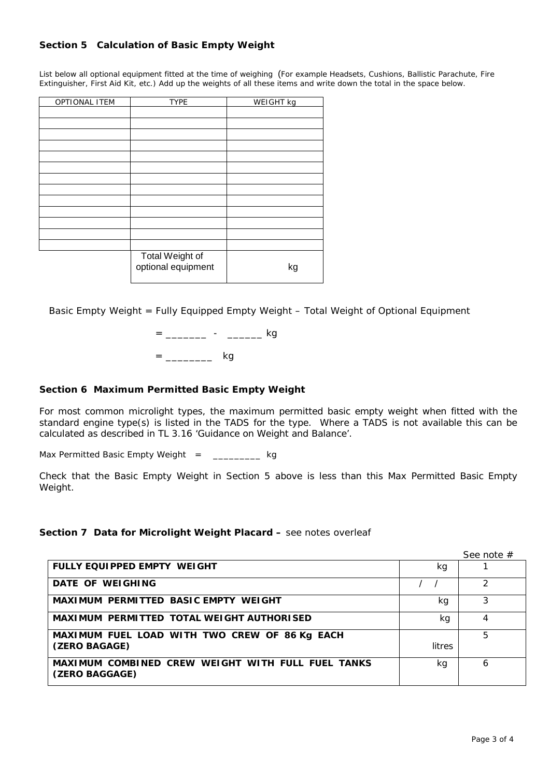### **Section 5 Calculation of Basic Empty Weight**

List below all optional equipment fitted at the time of weighing(For example Headsets, Cushions, Ballistic Parachute, Fire Extinguisher, First Aid Kit, etc.) Add up the weights of all these items and write down the total in the space below.

| OPTIONAL ITEM | <b>TYPE</b>                           | WEIGHT kg |
|---------------|---------------------------------------|-----------|
|               |                                       |           |
|               |                                       |           |
|               |                                       |           |
|               |                                       |           |
|               |                                       |           |
|               |                                       |           |
|               |                                       |           |
|               |                                       |           |
|               |                                       |           |
|               |                                       |           |
|               |                                       |           |
|               |                                       |           |
|               |                                       |           |
|               | Total Weight of<br>optional equipment | kg        |

Basic Empty Weight = Fully Equipped Empty Weight – Total Weight of Optional Equipment

= \_\_\_\_\_\_\_\_ - \_\_\_\_\_\_\_ kg  $=$  \_\_\_\_\_\_\_\_\_\_\_\_\_\_\_\_\_\_\_\_\_\_\_\_\_\_\_ kg

### **Section 6 Maximum Permitted Basic Empty Weight**

For most common microlight types, the maximum permitted basic empty weight when fitted with the standard engine type(s) is listed in the TADS for the type. Where a TADS is not available this can be calculated as described in TL 3.16 'Guidance on Weight and Balance'.

Max Permitted Basic Empty Weight =  $\frac{1}{2}$  =  $\frac{1}{2}$  kg

Check that the Basic Empty Weight in Section 5 above is less than this Max Permitted Basic Empty Weight.

#### **Section 7 Data for Microlight Weight Placard –** see notes overleaf

See note #

| <b>FULLY EQUIPPED EMPTY WEIGHT</b>                                  | kg     |   |
|---------------------------------------------------------------------|--------|---|
| DATE OF WEIGHING                                                    |        |   |
| MAXIMUM PERMITTED BASIC EMPTY WEIGHT                                | kg     | 3 |
| <b>MAXIMUM PERMITTED TOTAL WEIGHT AUTHORISED</b>                    | kg     | 4 |
| MAXIMUM FUEL LOAD WITH TWO CREW OF 86 Kg EACH                       |        | 5 |
| (ZERO BAGAGE)                                                       | litres |   |
| MAXIMUM COMBINED CREW WEIGHT WITH FULL FUEL TANKS<br>(ZERO BAGGAGE) | kg     | 6 |